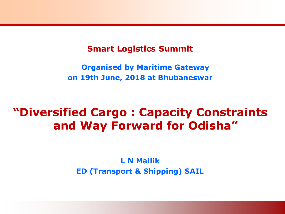#### **Smart Logistics Summit**

**Organised by Maritime Gateway on 19th June, 2018 at Bhubaneswar**

# **"Diversified Cargo : Capacity Constraints and Way Forward for Odisha"**

**L N Mallik ED (Transport & Shipping) SAIL**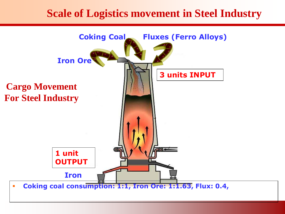# **Scale of Logistics movement in Steel Industry**

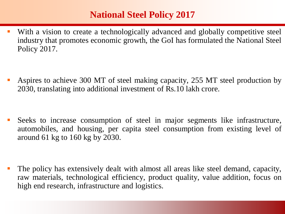## **National Steel Policy 2017**

• With a vision to create a technologically advanced and globally competitive steel industry that promotes economic growth, the GoI has formulated the National Steel Policy 2017.

 Aspires to achieve 300 MT of steel making capacity, 255 MT steel production by 2030, translating into additional investment of Rs.10 lakh crore.

 Seeks to increase consumption of steel in major segments like infrastructure, automobiles, and housing, per capita steel consumption from existing level of around 61 kg to 160 kg by 2030.

 The policy has extensively dealt with almost all areas like steel demand, capacity, raw materials, technological efficiency, product quality, value addition, focus on high end research, infrastructure and logistics.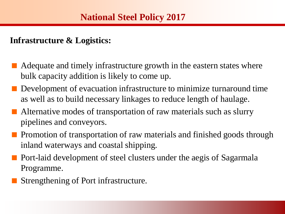#### **Infrastructure & Logistics:**

- Adequate and timely infrastructure growth in the eastern states where bulk capacity addition is likely to come up.
- Development of evacuation infrastructure to minimize turnaround time as well as to build necessary linkages to reduce length of haulage.
- Alternative modes of transportation of raw materials such as slurry pipelines and conveyors.
- Promotion of transportation of raw materials and finished goods through inland waterways and coastal shipping.
- Port-laid development of steel clusters under the aegis of Sagarmala Programme.
	- Strengthening of Port infrastructure.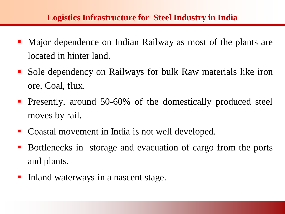#### **Logistics Infrastructure for Steel Industry in India**

- Major dependence on Indian Railway as most of the plants are located in hinter land.
- Sole dependency on Railways for bulk Raw materials like iron ore, Coal, flux.
- **Presently, around 50-60% of the domestically produced steel** moves by rail.
- Coastal movement in India is not well developed.
- **Bottlenecks in storage and evacuation of cargo from the ports** and plants.
- Inland waterways in a nascent stage.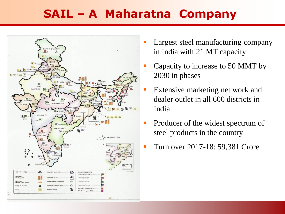# **SAIL – A Maharatna Company**



- Largest steel manufacturing company in India with 21 MT capacity
- Capacity to increase to 50 MMT by 2030 in phases
- Extensive marketing net work and dealer outlet in all 600 districts in India
- Producer of the widest spectrum of steel products in the country
- Turn over 2017-18: 59,381 Crore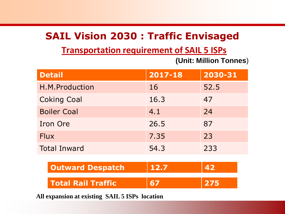# **SAIL Vision 2030 : Traffic Envisaged**

### **Transportation requirement of SAIL 5 ISPs**

**(Unit: Million Tonnes**)

| <b>Detail</b>             | 2017-18 | 2030-31 |
|---------------------------|---------|---------|
| H.M.Production            | 16      | 52.5    |
| <b>Coking Coal</b>        | 16.3    | 47      |
| <b>Boiler Coal</b>        | 4.1     | 24      |
| <b>Iron Ore</b>           | 26.5    | 87      |
| <b>Flux</b>               | 7.35    | 23      |
| <b>Total Inward</b>       | 54.3    | 233     |
| <b>Outward Despatch</b>   | 12.7    | 42      |
| <b>Total Rail Traffic</b> | 67      | 275     |

**All expansion at existing SAIL 5 ISPs location**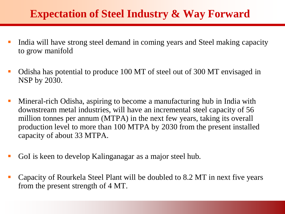# **Expectation of Steel Industry & Way Forward**

- India will have strong steel demand in coming years and Steel making capacity to grow manifold
- Odisha has potential to produce 100 MT of steel out of 300 MT envisaged in NSP by 2030.
- Mineral-rich Odisha, aspiring to become a manufacturing hub in India with downstream metal industries, will have an incremental steel capacity of 56 million tonnes per annum (MTPA) in the next few years, taking its overall production level to more than 100 MTPA by 2030 from the present installed capacity of about 33 MTPA.
- GoI is keen to develop Kalinganagar as a major steel hub.
- Capacity of Rourkela Steel Plant will be doubled to 8.2 MT in next five years from the present strength of 4 MT.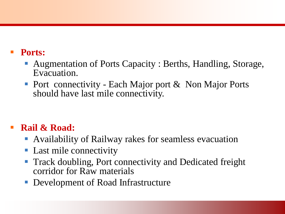### **Ports:**

- Augmentation of Ports Capacity : Berths, Handling, Storage, Evacuation.
- Port connectivity Each Major port & Non Major Ports should have last mile connectivity.

## **Rail & Road:**

- Availability of Railway rakes for seamless evacuation
- **Last mile connectivity**
- **Track doubling, Port connectivity and Dedicated freight** corridor for Raw materials
- Development of Road Infrastructure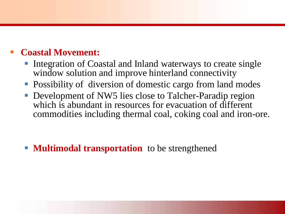## **Coastal Movement:**

- Integration of Coastal and Inland waterways to create single window solution and improve hinterland connectivity
- **Possibility of diversion of domestic cargo from land modes**
- Development of NW5 lies close to Talcher-Paradip region which is abundant in resources for evacuation of different commodities including thermal coal, coking coal and iron-ore.

**Multimodal transportation** to be strengthened